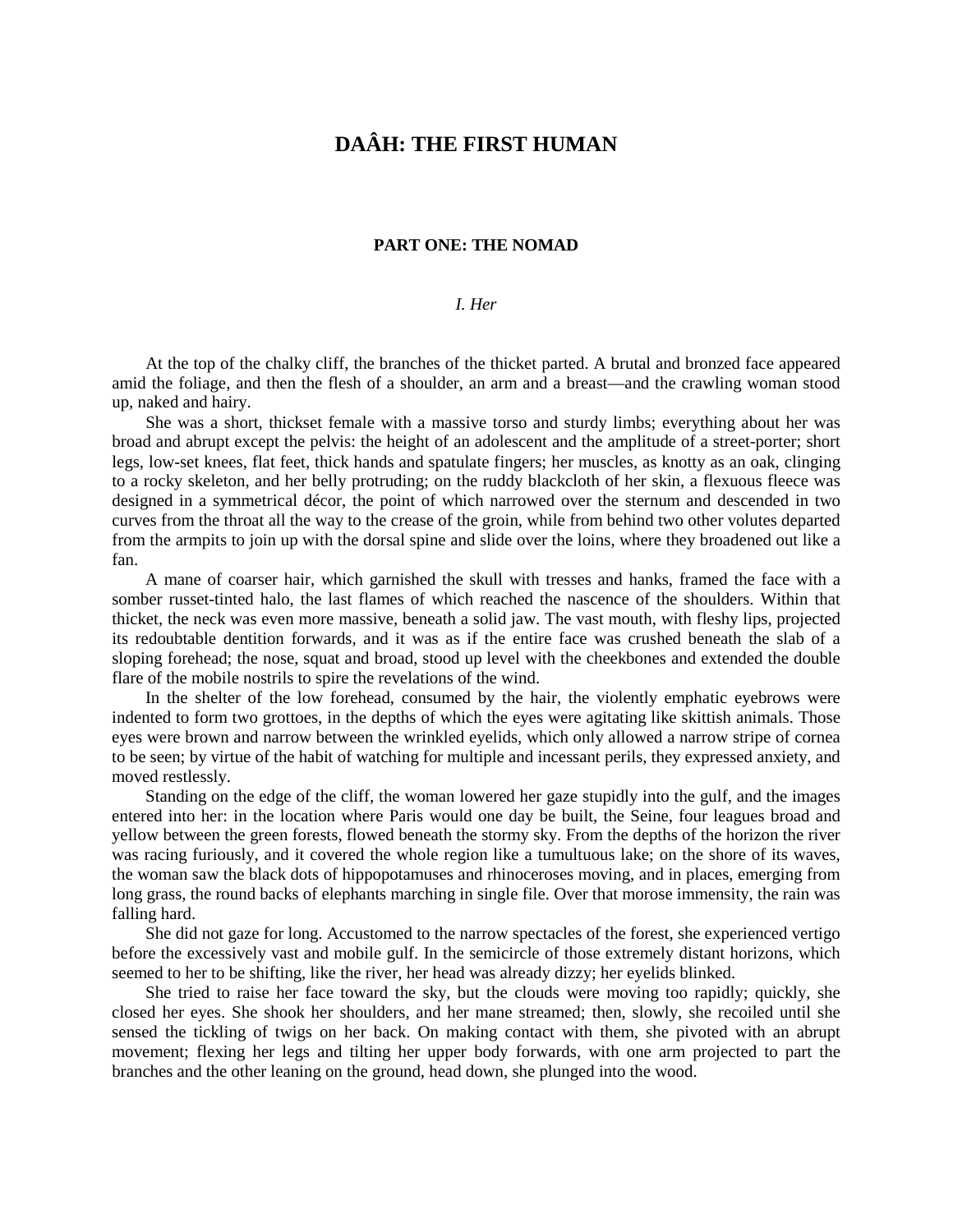# **DAÂH: THE FIRST HUMAN**

#### **PART ONE: THE NOMAD**

### *I. Her*

At the top of the chalky cliff, the branches of the thicket parted. A brutal and bronzed face appeared amid the foliage, and then the flesh of a shoulder, an arm and a breast—and the crawling woman stood up, naked and hairy.

She was a short, thickset female with a massive torso and sturdy limbs; everything about her was broad and abrupt except the pelvis: the height of an adolescent and the amplitude of a street-porter; short legs, low-set knees, flat feet, thick hands and spatulate fingers; her muscles, as knotty as an oak, clinging to a rocky skeleton, and her belly protruding; on the ruddy blackcloth of her skin, a flexuous fleece was designed in a symmetrical décor, the point of which narrowed over the sternum and descended in two curves from the throat all the way to the crease of the groin, while from behind two other volutes departed from the armpits to join up with the dorsal spine and slide over the loins, where they broadened out like a fan.

A mane of coarser hair, which garnished the skull with tresses and hanks, framed the face with a somber russet-tinted halo, the last flames of which reached the nascence of the shoulders. Within that thicket, the neck was even more massive, beneath a solid jaw. The vast mouth, with fleshy lips, projected its redoubtable dentition forwards, and it was as if the entire face was crushed beneath the slab of a sloping forehead; the nose, squat and broad, stood up level with the cheekbones and extended the double flare of the mobile nostrils to spire the revelations of the wind.

In the shelter of the low forehead, consumed by the hair, the violently emphatic eyebrows were indented to form two grottoes, in the depths of which the eyes were agitating like skittish animals. Those eyes were brown and narrow between the wrinkled eyelids, which only allowed a narrow stripe of cornea to be seen; by virtue of the habit of watching for multiple and incessant perils, they expressed anxiety, and moved restlessly.

Standing on the edge of the cliff, the woman lowered her gaze stupidly into the gulf, and the images entered into her: in the location where Paris would one day be built, the Seine, four leagues broad and yellow between the green forests, flowed beneath the stormy sky. From the depths of the horizon the river was racing furiously, and it covered the whole region like a tumultuous lake; on the shore of its waves, the woman saw the black dots of hippopotamuses and rhinoceroses moving, and in places, emerging from long grass, the round backs of elephants marching in single file. Over that morose immensity, the rain was falling hard.

She did not gaze for long. Accustomed to the narrow spectacles of the forest, she experienced vertigo before the excessively vast and mobile gulf. In the semicircle of those extremely distant horizons, which seemed to her to be shifting, like the river, her head was already dizzy; her eyelids blinked.

She tried to raise her face toward the sky, but the clouds were moving too rapidly; quickly, she closed her eyes. She shook her shoulders, and her mane streamed; then, slowly, she recoiled until she sensed the tickling of twigs on her back. On making contact with them, she pivoted with an abrupt movement; flexing her legs and tilting her upper body forwards, with one arm projected to part the branches and the other leaning on the ground, head down, she plunged into the wood.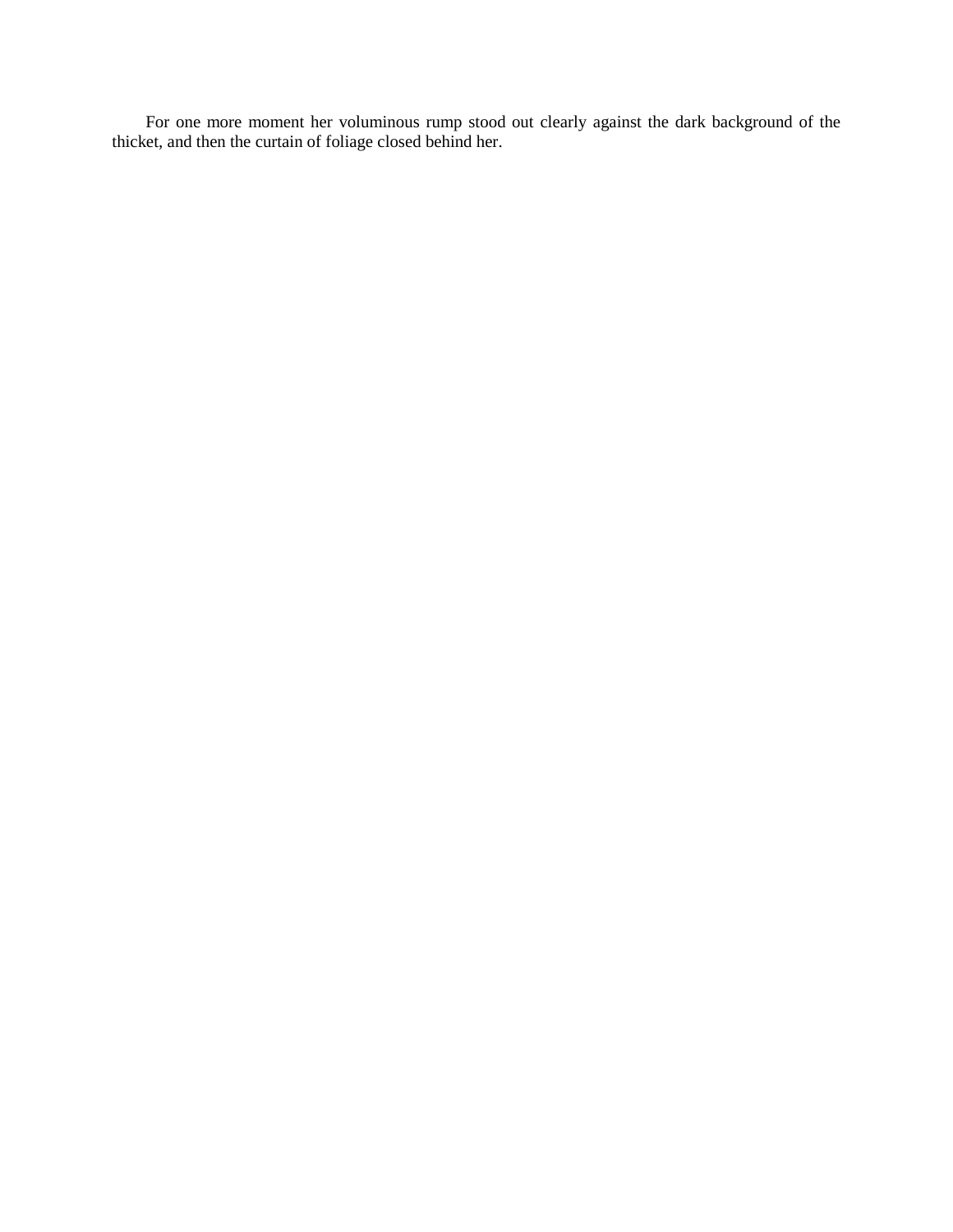For one more moment her voluminous rump stood out clearly against the dark background of the thicket, and then the curtain of foliage closed behind her.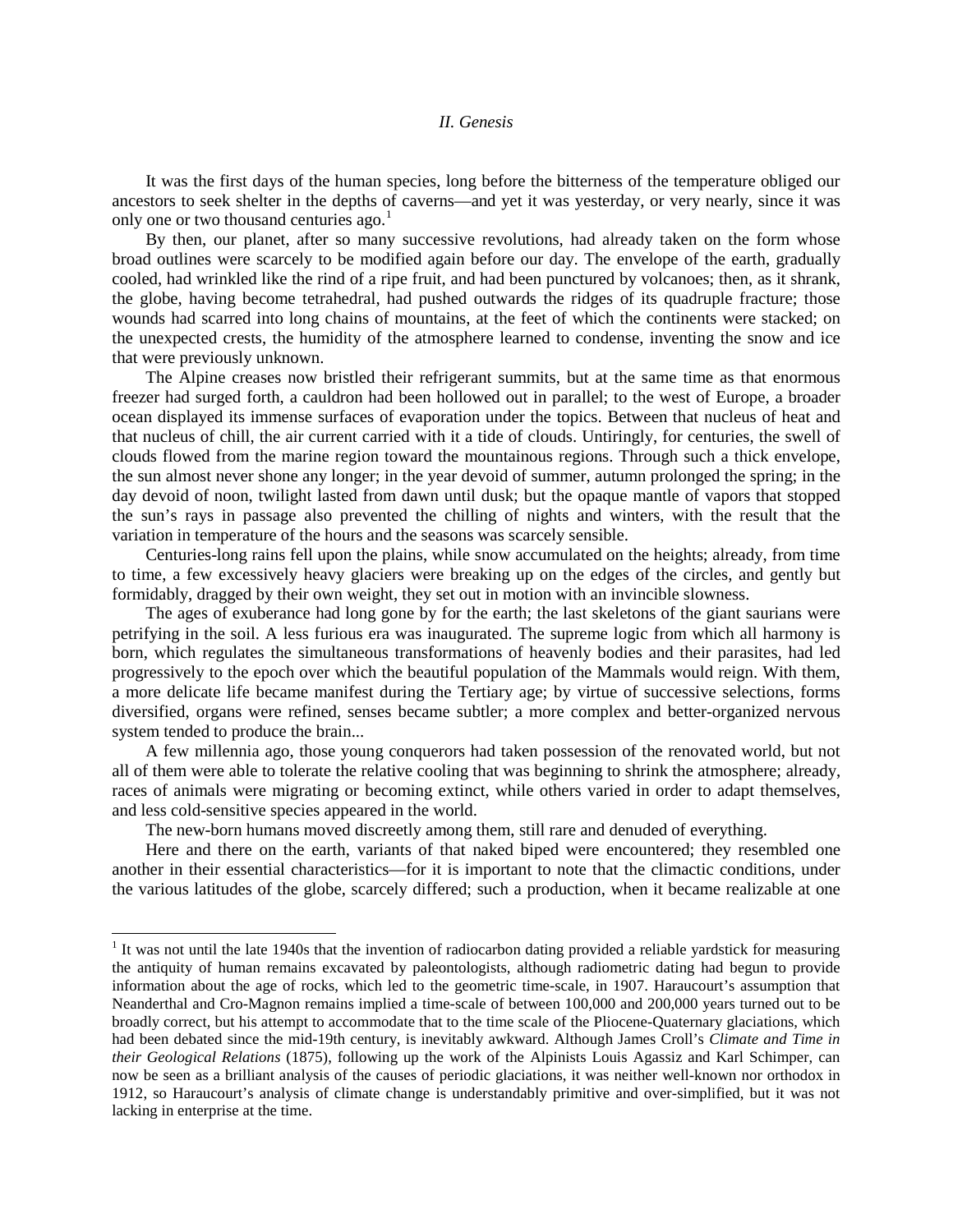### *II. Genesis*

It was the first days of the human species, long before the bitterness of the temperature obliged our ancestors to seek shelter in the depths of caverns—and yet it was yesterday, or very nearly, since it was only one or two thousand centuries ago.<sup>[1](#page-2-0)</sup>

By then, our planet, after so many successive revolutions, had already taken on the form whose broad outlines were scarcely to be modified again before our day. The envelope of the earth, gradually cooled, had wrinkled like the rind of a ripe fruit, and had been punctured by volcanoes; then, as it shrank, the globe, having become tetrahedral, had pushed outwards the ridges of its quadruple fracture; those wounds had scarred into long chains of mountains, at the feet of which the continents were stacked; on the unexpected crests, the humidity of the atmosphere learned to condense, inventing the snow and ice that were previously unknown.

The Alpine creases now bristled their refrigerant summits, but at the same time as that enormous freezer had surged forth, a cauldron had been hollowed out in parallel; to the west of Europe, a broader ocean displayed its immense surfaces of evaporation under the topics. Between that nucleus of heat and that nucleus of chill, the air current carried with it a tide of clouds. Untiringly, for centuries, the swell of clouds flowed from the marine region toward the mountainous regions. Through such a thick envelope, the sun almost never shone any longer; in the year devoid of summer, autumn prolonged the spring; in the day devoid of noon, twilight lasted from dawn until dusk; but the opaque mantle of vapors that stopped the sun's rays in passage also prevented the chilling of nights and winters, with the result that the variation in temperature of the hours and the seasons was scarcely sensible.

Centuries-long rains fell upon the plains, while snow accumulated on the heights; already, from time to time, a few excessively heavy glaciers were breaking up on the edges of the circles, and gently but formidably, dragged by their own weight, they set out in motion with an invincible slowness.

The ages of exuberance had long gone by for the earth; the last skeletons of the giant saurians were petrifying in the soil. A less furious era was inaugurated. The supreme logic from which all harmony is born, which regulates the simultaneous transformations of heavenly bodies and their parasites, had led progressively to the epoch over which the beautiful population of the Mammals would reign. With them, a more delicate life became manifest during the Tertiary age; by virtue of successive selections, forms diversified, organs were refined, senses became subtler; a more complex and better-organized nervous system tended to produce the brain...

A few millennia ago, those young conquerors had taken possession of the renovated world, but not all of them were able to tolerate the relative cooling that was beginning to shrink the atmosphere; already, races of animals were migrating or becoming extinct, while others varied in order to adapt themselves, and less cold-sensitive species appeared in the world.

The new-born humans moved discreetly among them, still rare and denuded of everything.

Here and there on the earth, variants of that naked biped were encountered; they resembled one another in their essential characteristics—for it is important to note that the climactic conditions, under the various latitudes of the globe, scarcely differed; such a production, when it became realizable at one

<span id="page-2-0"></span> $1$  It was not until the late 1940s that the invention of radiocarbon dating provided a reliable yardstick for measuring the antiquity of human remains excavated by paleontologists, although radiometric dating had begun to provide information about the age of rocks, which led to the geometric time-scale, in 1907. Haraucourt's assumption that Neanderthal and Cro-Magnon remains implied a time-scale of between 100,000 and 200,000 years turned out to be broadly correct, but his attempt to accommodate that to the time scale of the Pliocene-Quaternary glaciations, which had been debated since the mid-19th century, is inevitably awkward. Although James Croll's *Climate and Time in their Geological Relations* (1875), following up the work of the Alpinists Louis Agassiz and Karl Schimper, can now be seen as a brilliant analysis of the causes of periodic glaciations, it was neither well-known nor orthodox in 1912, so Haraucourt's analysis of climate change is understandably primitive and over-simplified, but it was not lacking in enterprise at the time.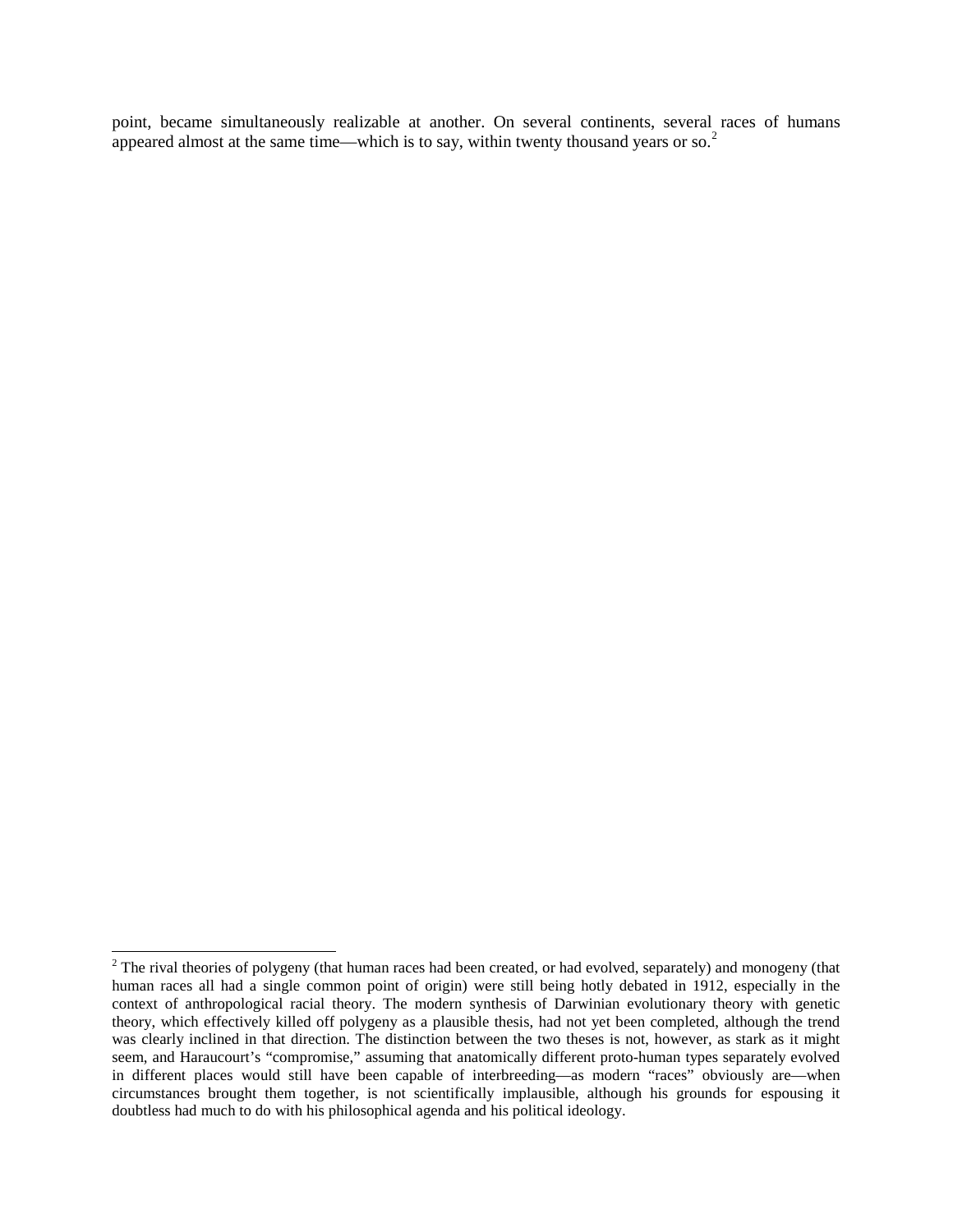point, became simultaneously realizable at another. On several continents, several races of humans appeared almost at the same time—which is to say, within twenty thousand years or so.<sup>[2](#page-3-0)</sup>

<span id="page-3-0"></span> $2$  The rival theories of polygeny (that human races had been created, or had evolved, separately) and monogeny (that human races all had a single common point of origin) were still being hotly debated in 1912, especially in the context of anthropological racial theory. The modern synthesis of Darwinian evolutionary theory with genetic theory, which effectively killed off polygeny as a plausible thesis, had not yet been completed, although the trend was clearly inclined in that direction. The distinction between the two theses is not, however, as stark as it might seem, and Haraucourt's "compromise," assuming that anatomically different proto-human types separately evolved in different places would still have been capable of interbreeding—as modern "races" obviously are—when circumstances brought them together, is not scientifically implausible, although his grounds for espousing it doubtless had much to do with his philosophical agenda and his political ideology.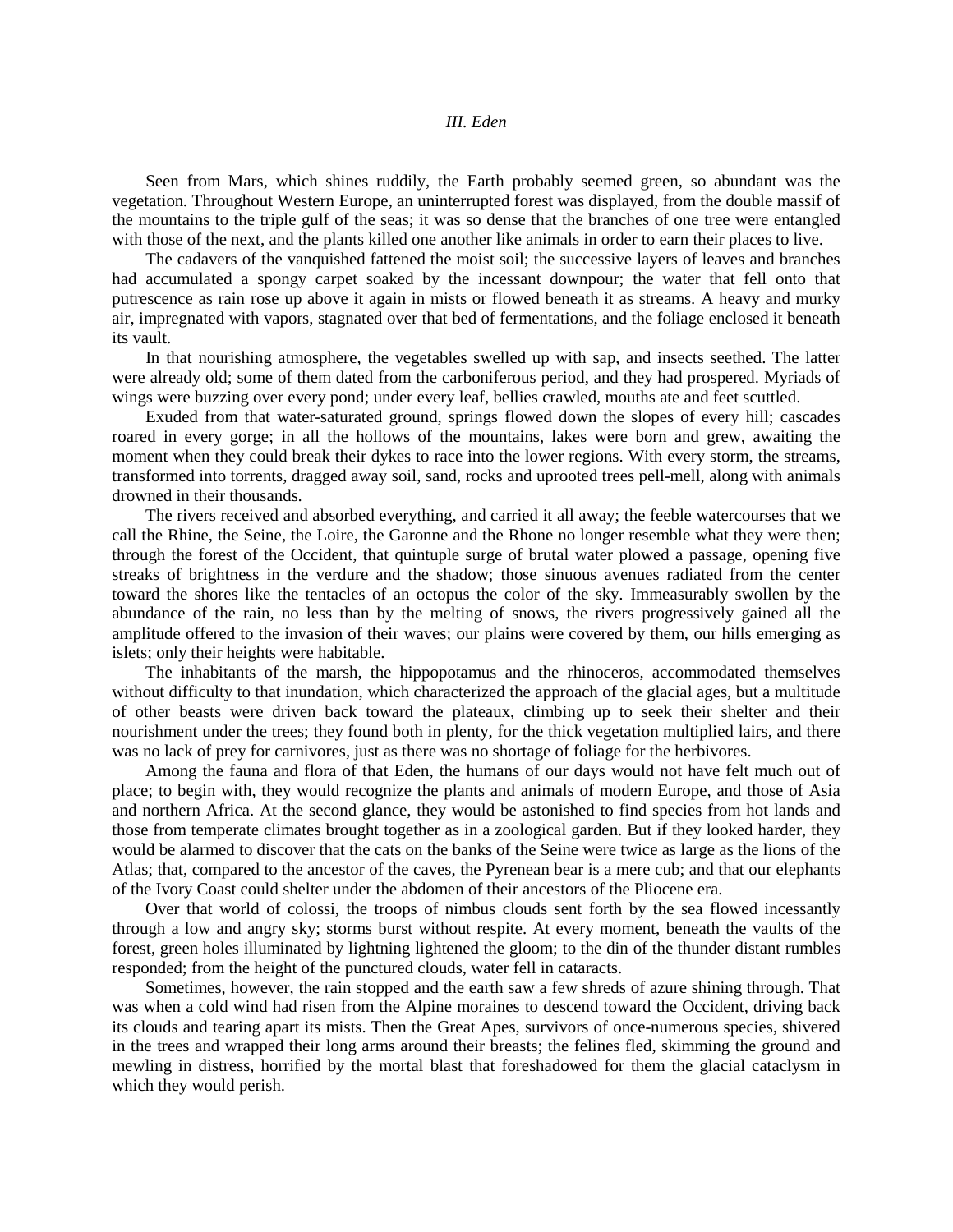## *III. Eden*

Seen from Mars, which shines ruddily, the Earth probably seemed green, so abundant was the vegetation. Throughout Western Europe, an uninterrupted forest was displayed, from the double massif of the mountains to the triple gulf of the seas; it was so dense that the branches of one tree were entangled with those of the next, and the plants killed one another like animals in order to earn their places to live.

The cadavers of the vanquished fattened the moist soil; the successive layers of leaves and branches had accumulated a spongy carpet soaked by the incessant downpour; the water that fell onto that putrescence as rain rose up above it again in mists or flowed beneath it as streams. A heavy and murky air, impregnated with vapors, stagnated over that bed of fermentations, and the foliage enclosed it beneath its vault.

In that nourishing atmosphere, the vegetables swelled up with sap, and insects seethed. The latter were already old; some of them dated from the carboniferous period, and they had prospered. Myriads of wings were buzzing over every pond; under every leaf, bellies crawled, mouths ate and feet scuttled.

Exuded from that water-saturated ground, springs flowed down the slopes of every hill; cascades roared in every gorge; in all the hollows of the mountains, lakes were born and grew, awaiting the moment when they could break their dykes to race into the lower regions. With every storm, the streams, transformed into torrents, dragged away soil, sand, rocks and uprooted trees pell-mell, along with animals drowned in their thousands.

The rivers received and absorbed everything, and carried it all away; the feeble watercourses that we call the Rhine, the Seine, the Loire, the Garonne and the Rhone no longer resemble what they were then; through the forest of the Occident, that quintuple surge of brutal water plowed a passage, opening five streaks of brightness in the verdure and the shadow; those sinuous avenues radiated from the center toward the shores like the tentacles of an octopus the color of the sky. Immeasurably swollen by the abundance of the rain, no less than by the melting of snows, the rivers progressively gained all the amplitude offered to the invasion of their waves; our plains were covered by them, our hills emerging as islets; only their heights were habitable.

The inhabitants of the marsh, the hippopotamus and the rhinoceros, accommodated themselves without difficulty to that inundation, which characterized the approach of the glacial ages, but a multitude of other beasts were driven back toward the plateaux, climbing up to seek their shelter and their nourishment under the trees; they found both in plenty, for the thick vegetation multiplied lairs, and there was no lack of prey for carnivores, just as there was no shortage of foliage for the herbivores.

Among the fauna and flora of that Eden, the humans of our days would not have felt much out of place; to begin with, they would recognize the plants and animals of modern Europe, and those of Asia and northern Africa. At the second glance, they would be astonished to find species from hot lands and those from temperate climates brought together as in a zoological garden. But if they looked harder, they would be alarmed to discover that the cats on the banks of the Seine were twice as large as the lions of the Atlas; that, compared to the ancestor of the caves, the Pyrenean bear is a mere cub; and that our elephants of the Ivory Coast could shelter under the abdomen of their ancestors of the Pliocene era.

Over that world of colossi, the troops of nimbus clouds sent forth by the sea flowed incessantly through a low and angry sky; storms burst without respite. At every moment, beneath the vaults of the forest, green holes illuminated by lightning lightened the gloom; to the din of the thunder distant rumbles responded; from the height of the punctured clouds, water fell in cataracts.

Sometimes, however, the rain stopped and the earth saw a few shreds of azure shining through. That was when a cold wind had risen from the Alpine moraines to descend toward the Occident, driving back its clouds and tearing apart its mists. Then the Great Apes, survivors of once-numerous species, shivered in the trees and wrapped their long arms around their breasts; the felines fled, skimming the ground and mewling in distress, horrified by the mortal blast that foreshadowed for them the glacial cataclysm in which they would perish.